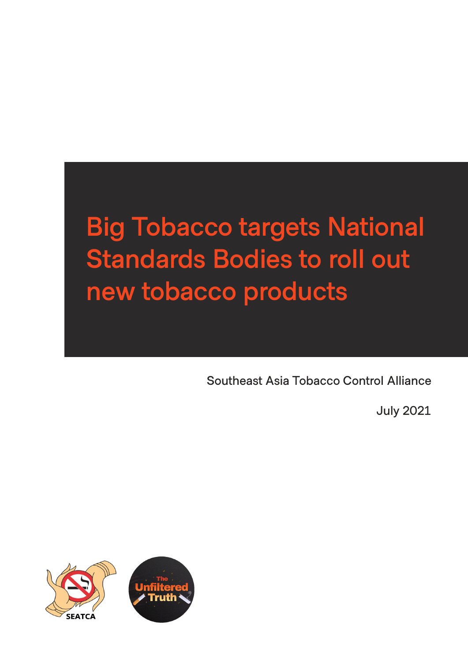# **Big Tobacco targets National Standards Bodies to roll out new tobacco products**

**Southeast Asia Tobacco Control Alliance**

**July 2021**

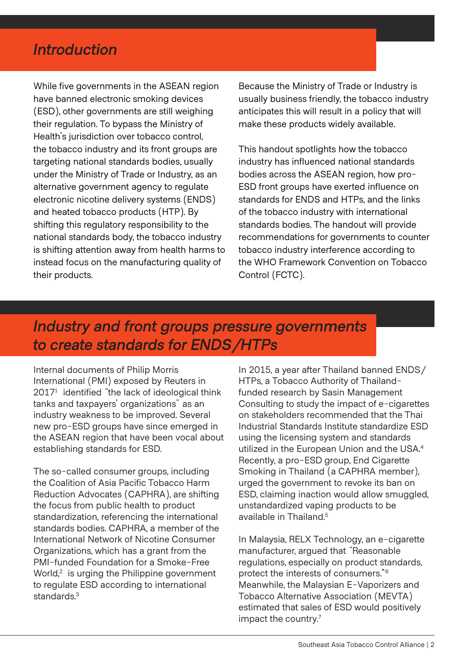### *Introduction*

While five governments in the ASEAN region have banned electronic smoking devices (ESD), other governments are still weighing their regulation. To bypass the Ministry of Health's jurisdiction over tobacco control, the tobacco industry and its front groups are targeting national standards bodies, usually under the Ministry of Trade or Industry, as an alternative government agency to regulate electronic nicotine delivery systems (ENDS) and heated tobacco products (HTP). By shifting this regulatory responsibility to the national standards body, the tobacco industry is shifting attention away from health harms to instead focus on the manufacturing quality of their products.

Because the Ministry of Trade or Industry is usually business friendly, the tobacco industry anticipates this will result in a policy that will make these products widely available.

This handout spotlights how the tobacco industry has influenced national standards bodies across the ASEAN region, how pro-ESD front groups have exerted influence on standards for ENDS and HTPs, and the links of the tobacco industry with international standards bodies. The handout will provide recommendations for governments to counter tobacco industry interference according to the WHO Framework Convention on Tobacco Control (FCTC).

### *Industry and front groups pressure governments to create standards for ENDS/HTPs*

Internal documents of Philip Morris International (PMI) exposed by Reuters in 20171 identified "the lack of ideological think tanks and taxpayers' organizations" as an industry weakness to be improved. Several new pro-ESD groups have since emerged in the ASEAN region that have been vocal about establishing standards for ESD.

The so-called consumer groups, including the Coalition of Asia Pacific Tobacco Harm Reduction Advocates (CAPHRA), are shifting the focus from public health to product standardization, referencing the international standards bodies. CAPHRA, a member of the International Network of Nicotine Consumer Organizations, which has a grant from the PMI-funded Foundation for a Smoke-Free World,<sup>2</sup> is urging the Philippine government to regulate ESD according to international standards.<sup>3</sup>

In 2015, a year after Thailand banned ENDS/ HTPs, a Tobacco Authority of Thailandfunded research by Sasin Management Consulting to study the impact of e-cigarettes on stakeholders recommended that the Thai Industrial Standards Institute standardize ESD using the licensing system and standards utilized in the European Union and the USA.4 Recently, a pro-ESD group, End Cigarette Smoking in Thailand (a CAPHRA member), urged the government to revoke its ban on ESD, claiming inaction would allow smuggled, unstandardized vaping products to be available in Thailand.<sup>5</sup>

In Malaysia, RELX Technology, an e-cigarette manufacturer, argued that "Reasonable regulations, especially on product standards, protect the interests of consumers."6 Meanwhile, the Malaysian E-Vaporizers and Tobacco Alternative Association (MEVTA) estimated that sales of ESD would positively impact the country.<sup>7</sup>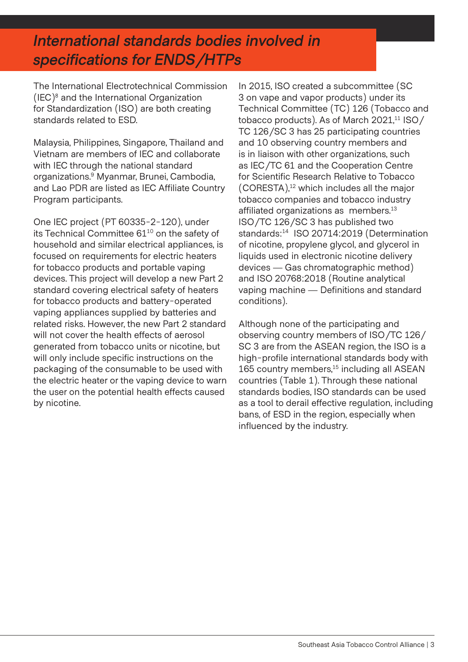### *International standards bodies involved in specifications for ENDS/HTPs*

The International Electrotechnical Commission (IEC) $^8$  and the International Organization for Standardization (ISO) are both creating standards related to ESD.

Malaysia, Philippines, Singapore, Thailand and Vietnam are members of IEC and collaborate with IEC through the national standard organizations.9 Myanmar, Brunei, Cambodia, and Lao PDR are listed as IEC Affiliate Country Program participants.

One IEC project (PT 60335-2-120), under its Technical Committee 61<sup>10</sup> on the safety of household and similar electrical appliances, is focused on requirements for electric heaters for tobacco products and portable vaping devices. This project will develop a new Part 2 standard covering electrical safety of heaters for tobacco products and battery-operated vaping appliances supplied by batteries and related risks. However, the new Part 2 standard will not cover the health effects of aerosol generated from tobacco units or nicotine, but will only include specific instructions on the packaging of the consumable to be used with the electric heater or the vaping device to warn the user on the potential health effects caused by nicotine.

In 2015, ISO created a subcommittee (SC 3 on vape and vapor products) under its Technical Committee (TC) 126 (Tobacco and tobacco products). As of March 2021,<sup>11</sup> ISO/ TC 126/SC 3 has 25 participating countries and 10 observing country members and is in liaison with other organizations, such as IEC/TC 61 and the Cooperation Centre for Scientific Research Relative to Tobacco (CORESTA),12 which includes all the major tobacco companies and tobacco industry affiliated organizations as members.<sup>13</sup> ISO/TC 126/SC 3 has published two standards:<sup>14</sup> ISO 20714:2019 (Determination of nicotine, propylene glycol, and glycerol in liquids used in electronic nicotine delivery devices — Gas chromatographic method) and ISO 20768:2018 (Routine analytical vaping machine — Definitions and standard conditions).

Although none of the participating and observing country members of ISO/TC 126/ SC 3 are from the ASEAN region, the ISO is a high-profile international standards body with 165 country members,<sup>15</sup> including all ASEAN countries (Table 1). Through these national standards bodies, ISO standards can be used as a tool to derail effective regulation, including bans, of ESD in the region, especially when influenced by the industry.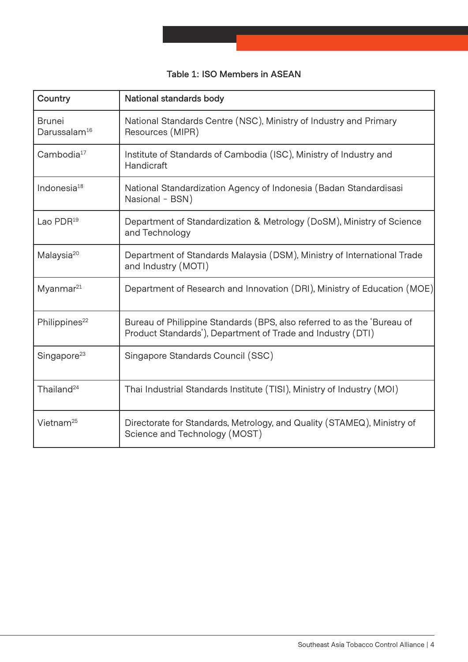|  |  | Table 1: ISO Members in ASEAN |  |  |
|--|--|-------------------------------|--|--|
|--|--|-------------------------------|--|--|

| Country                                   | National standards body                                                                                                                |  |  |
|-------------------------------------------|----------------------------------------------------------------------------------------------------------------------------------------|--|--|
| <b>Brunei</b><br>Darussalam <sup>16</sup> | National Standards Centre (NSC), Ministry of Industry and Primary<br>Resources (MIPR)                                                  |  |  |
| Cambodia <sup>17</sup>                    | Institute of Standards of Cambodia (ISC), Ministry of Industry and<br>Handicraft                                                       |  |  |
| Indonesia $18$                            | National Standardization Agency of Indonesia (Badan Standardisasi<br>Nasional - BSN)                                                   |  |  |
| Lao $PDR19$                               | Department of Standardization & Metrology (DoSM), Ministry of Science<br>and Technology                                                |  |  |
| Malaysia <sup>20</sup>                    | Department of Standards Malaysia (DSM), Ministry of International Trade<br>and Industry (MOTI)                                         |  |  |
| Myanmar <sup>21</sup>                     | Department of Research and Innovation (DRI), Ministry of Education (MOE)                                                               |  |  |
| Philippines <sup>22</sup>                 | Bureau of Philippine Standards (BPS, also referred to as the 'Bureau of<br>Product Standards'), Department of Trade and Industry (DTI) |  |  |
| Singapore <sup>23</sup>                   | Singapore Standards Council (SSC)                                                                                                      |  |  |
| Thailand <sup>24</sup>                    | Thai Industrial Standards Institute (TISI), Ministry of Industry (MOI)                                                                 |  |  |
| Vietnam $25$                              | Directorate for Standards, Metrology, and Quality (STAMEQ), Ministry of<br>Science and Technology (MOST)                               |  |  |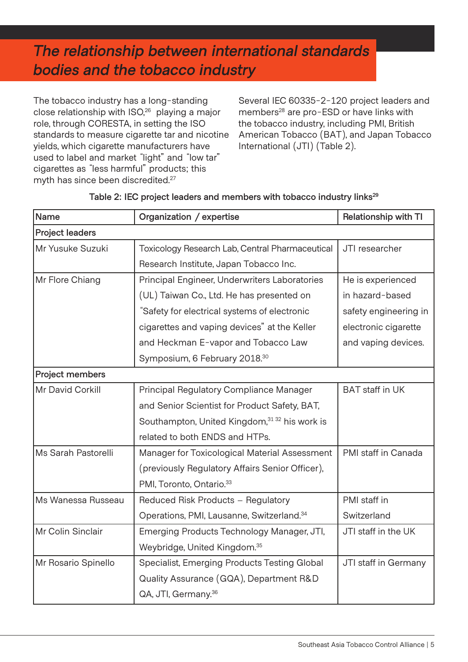## *The relationship between international standards bodies and the tobacco industry*

The tobacco industry has a long-standing close relationship with ISO,26 playing a major role, through CORESTA, in setting the ISO standards to measure cigarette tar and nicotine yields, which cigarette manufacturers have used to label and market "light" and "low tar" cigarettes as "less harmful" products; this myth has since been discredited.27

Several IEC 60335-2-120 project leaders and members<sup>28</sup> are pro-ESD or have links with the tobacco industry, including PMI, British American Tobacco (BAT), and Japan Tobacco International (JTI) (Table 2).

| Name                   | Organization / expertise                              | Relationship with TI   |  |  |  |
|------------------------|-------------------------------------------------------|------------------------|--|--|--|
| <b>Project leaders</b> |                                                       |                        |  |  |  |
| Mr Yusuke Suzuki       | Toxicology Research Lab, Central Pharmaceutical       | JTI researcher         |  |  |  |
|                        | Research Institute, Japan Tobacco Inc.                |                        |  |  |  |
| Mr Flore Chiang        | Principal Engineer, Underwriters Laboratories         | He is experienced      |  |  |  |
|                        | (UL) Taiwan Co., Ltd. He has presented on             | in hazard-based        |  |  |  |
|                        | "Safety for electrical systems of electronic          | safety engineering in  |  |  |  |
|                        | cigarettes and vaping devices" at the Keller          | electronic cigarette   |  |  |  |
|                        | and Heckman E-vapor and Tobacco Law                   | and vaping devices.    |  |  |  |
|                        | Symposium, 6 February 2018.30                         |                        |  |  |  |
| Project members        |                                                       |                        |  |  |  |
| Mr David Corkill       | Principal Regulatory Compliance Manager               | <b>BAT</b> staff in UK |  |  |  |
|                        | and Senior Scientist for Product Safety, BAT,         |                        |  |  |  |
|                        | Southampton, United Kingdom, 31 32 his work is        |                        |  |  |  |
|                        | related to both ENDS and HTPs.                        |                        |  |  |  |
| Ms Sarah Pastorelli    | Manager for Toxicological Material Assessment         | PMI staff in Canada    |  |  |  |
|                        | (previously Regulatory Affairs Senior Officer),       |                        |  |  |  |
|                        | PMI, Toronto, Ontario. <sup>33</sup>                  |                        |  |  |  |
| Ms Wanessa Russeau     | Reduced Risk Products - Regulatory                    | PMI staff in           |  |  |  |
|                        | Operations, PMI, Lausanne, Switzerland. <sup>34</sup> | Switzerland            |  |  |  |
| Mr Colin Sinclair      | Emerging Products Technology Manager, JTI,            | JTI staff in the UK    |  |  |  |
|                        | Weybridge, United Kingdom. <sup>35</sup>              |                        |  |  |  |
| Mr Rosario Spinello    | Specialist, Emerging Products Testing Global          | JTI staff in Germany   |  |  |  |
|                        | Quality Assurance (GQA), Department R&D               |                        |  |  |  |
|                        | QA, JTI, Germany. <sup>36</sup>                       |                        |  |  |  |

#### **Table 2: IEC project leaders and members with tobacco industry links29**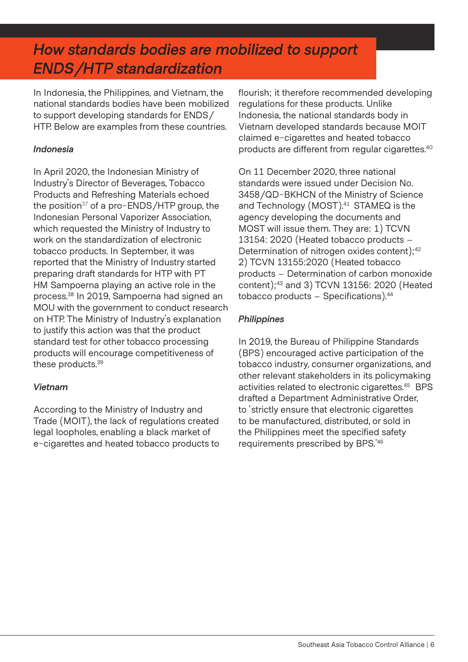### *How standards bodies are mobilized to support ENDS/HTP standardization*

In Indonesia, the Philippines, and Vietnam, the national standards bodies have been mobilized to support developing standards for ENDS/ HTP. Below are examples from these countries.

#### *Indonesia*

In April 2020, the Indonesian Ministry of Industry's Director of Beverages, Tobacco Products and Refreshing Materials echoed the position $37$  of a pro-ENDS/HTP group, the Indonesian Personal Vaporizer Association, which requested the Ministry of Industry to work on the standardization of electronic tobacco products. In September, it was reported that the Ministry of Industry started preparing draft standards for HTP with PT HM Sampoerna playing an active role in the process.38 In 2019, Sampoerna had signed an MOU with the government to conduct research on HTP. The Ministry of Industry's explanation to justify this action was that the product standard test for other tobacco processing products will encourage competitiveness of these products.<sup>39</sup>

### *Vietnam*

According to the Ministry of Industry and Trade (MOIT), the lack of regulations created legal loopholes, enabling a black market of e-cigarettes and heated tobacco products to flourish; it therefore recommended developing regulations for these products. Unlike Indonesia, the national standards body in Vietnam developed standards because MOIT claimed e-cigarettes and heated tobacco products are different from regular cigarettes.<sup>40</sup>

On 11 December 2020, three national standards were issued under Decision No. 3458/QD-BKHCN of the Ministry of Science and Technology (MOST).<sup>41</sup> STAMEQ is the agency developing the documents and MOST will issue them. They are: 1) TCVN 13154: 2020 (Heated tobacco products – Determination of nitrogen oxides content);<sup>42</sup> 2) TCVN 13155:2020 (Heated tobacco products – Determination of carbon monoxide content);43 and 3) TCVN 13156: 2020 (Heated tobacco products  $-$  Specifications). $44$ 

### *Philippines*

In 2019, the Bureau of Philippine Standards (BPS) encouraged active participation of the tobacco industry, consumer organizations, and other relevant stakeholders in its policymaking activities related to electronic cigarettes.45 BPS drafted a Department Administrative Order, to 'strictly ensure that electronic cigarettes to be manufactured, distributed, or sold in the Philippines meet the specified safety requirements prescribed by BPS.'46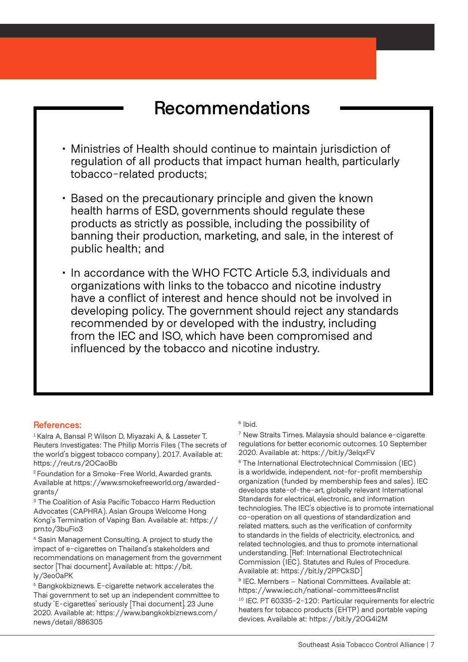# **Recommendations**

- Ministries of Health should continue to maintain jurisdiction of regulation of all products that impact human health, particularly tobacco-related products;
- Based on the precautionary principle and given the known health harms of ESD, governments should regulate these products as strictly as possible, including the possibility of banning their production, marketing, and sale, in the interest of public health; and
- In accordance with the WHO FCTC Article 5.3, individuals and organizations with links to the tobacco and nicotine industry have a conflict of interest and hence should not be involved in developing policy. The government should reject any standards recommended by or developed with the industry, including from the IEC and ISO, which have been compromised and influenced by the tobacco and nicotine industry.

#### **References:**

<sup>1</sup> Kalra A, Bansal P, Wilson D, Miyazaki A, & Lasseter T. Reuters Investigates: The Philip Morris Files (The secrets of the world's biggest tobacco company). 2017. Available at: https://reut.rs/2OCaoBb

2 Foundation for a Smoke-Free World, Awarded grants. Available at https://www.smokefreeworld.org/awardedgrants/

<sup>3</sup> The Coalition of Asia Pacific Tobacco Harm Reduction Advocates (CAPHRA). Asian Groups Welcome Hong Kong's Termination of Vaping Ban. Available at: https:// prn.to/3buFio3

4 Sasin Management Consulting. A project to study the impact of e-cigarettes on Thailand's stakeholders and recommendations on management from the government sector [Thai document]. Available at: https://bit. ly/3eo0aPK

5 Bangkokbiznews. E-cigarette network accelerates the Thai government to set up an independent committee to study 'E-cigarettes' seriously [Thai document]. 23 June 2020. Available at: https://www.bangkokbiznews.com/ news/detail/886305

#### 6 Ibid.

7 New Straits Times. Malaysia should balance e-cigarette regulations for better economic outcomes. 10 September 2020. Available at: https://bit.ly/3elqxFV

8 The International Electrotechnical Commission (IEC) is a worldwide, independent, not-for-profit membership organization (funded by membership fees and sales). IEC develops state-of-the-art, globally relevant International Standards for electrical, electronic, and information technologies. The IEC's objective is to promote international co-operation on all questions of standardization and related matters, such as the verification of conformity to standards in the fields of electricity, electronics, and related technologies, and thus to promote international understanding. [Ref: International Electrotechnical Commission (IEC). Statutes and Rules of Procedure. Available at: https://bit.ly/2PPCkSD]

9 IEC. Members – National Committees. Available at: https://www.iec.ch/national-committees#nclist 10 IEC. PT 60335-2-120: Particular requirements for electric heaters for tobacco products (EHTP) and portable vaping devices. Available at: https://bit.ly/2OG4i2M